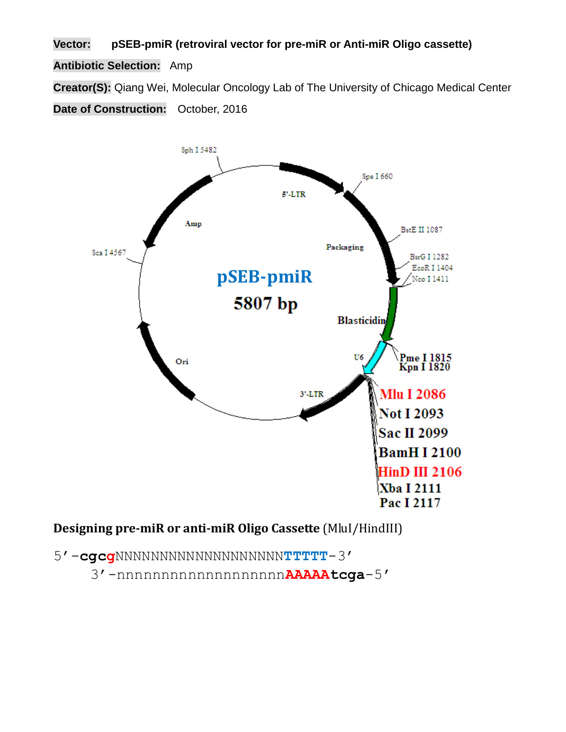**Vector: pSEB-pmiR (retroviral vector for pre-miR or Anti-miR Oligo cassette)**

**Antibiotic Selection:** Amp

**Creator(S):** Qiang Wei, Molecular Oncology Lab of The University of Chicago Medical Center

**Date of Construction:** October, 2016



**Designing pre-miR or anti-miR Oligo Cassette** (MluI/HindIII)

5'-**cgcg**NNNNNNNNNNNNNNNNNNN**TTTTT**-3' 3'-nnnnnnnnnnnnnnnnnnn**AAAAAtcga**-5'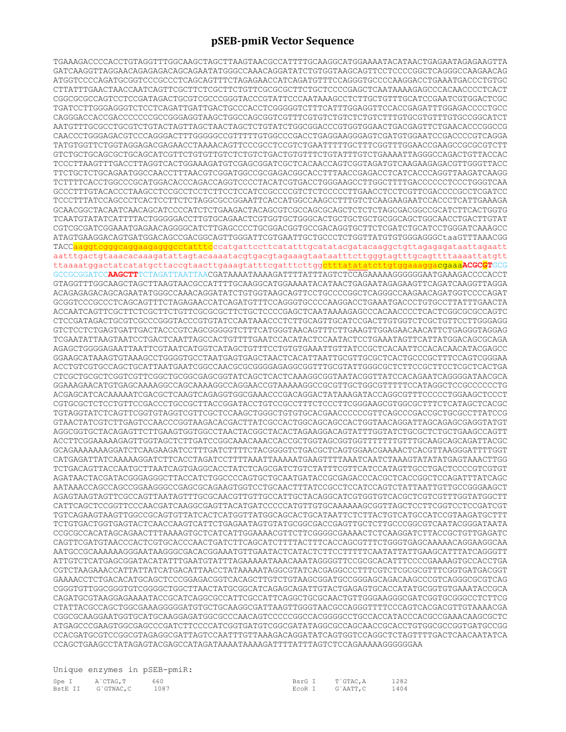## **pSEB-pmiR Vector Sequence**

TGAAAGACCCCACCTGTAGGTTTGGCAAGCTAGCTTAAGTAACGCCATTTTGCAAGGCATGGAAAATACATAACTGAGAATAGAGAAGTTA GATCAAGGTTAGGAACAGAGAGACAGCAGAATATGGGCCAAACAGGATATCTGTGGTAAGCAGTTCCTCCCCGGCTCAGGGCCAAGAACAG ATGGTCCCCAGATGCGGTCCCGCCCTCAGCAGTTTCTAGAGAACCATCAGATGTTTCCAGGGTGCCCCAAGGACCTGAAATGACCCTGTGC CTTATTTGAACTAACCAATCAGTTCGCTTCTCGCTTCTGTTCGCGCGCTTCTGCTCCCCGAGCTCAATAAAAGAGCCCACAACCCCTCACT CGGCGCGCCAGTCCTCCGATAGACTGCGTCGCCCGGGTACCCGTATTCCCAATAAAGCCTCTTGCTGTTTGCATCCGAATCGTGGACTCGC TGATCCTTGGGAGGGTCTCCTCAGATTGATTGACTGCCCACCTCGGGGGTCTTTCATTTGGAGGTTCCACCGAGATTTGGAGACCCCTGCC CAGGGACCACCGACCCCCCCGCCGGGAGGTAAGCTGGCCAGCGGTCGTTTCGTGTCTGTCTCTGTCTTTGTGCGTGTTTGTGCCGGCATCT AATGTTTGCGCCTGCGTCTGTACTAGTTAGCTAACTAGCTCTGTATCTGGCGGACCCGTGGTGGAACTGACGAGTTCTGAACACCCGGCCG CAACCCTGGGAGACGTCCCAGGGACTTTGGGGGCCGTTTTTGTGGCCCGACCTGAGGAAGGGAGTCGATGTGGAATCCGACCCCGTCAGGA TATGTGGTTCTGGTAGGAGACGAGAACCTAAAACAGTTCCCGCCTCCGTCTGAATTTTTGCTTTCGGTTTGGAACCGAAGCCGCGCGTCTT GTCTGCTGCAGCGCTGCAGCATCGTTCTGTGTTGTCTCTGTCTGACTGTGTTTCTGTATTTGTCTGAAAATTAGGGCCAGACTGTTACCAC TCCCTTAAGTTTGACCTTAGGTCACTGGAAAGATGTCGAGCGGATCGCTCACAACCAGTCGGTAGATGTCAAGAAGAGACGTTGGGTTACC TTCTGCTCTGCAGAATGGCCAACCTTTAACGTCGGATGGCCGCGAGACGGCACCTTTAACCGAGACCTCATCACCCAGGTTAAGATCAAGG TCTTTTCACCTGGCCCGCATGGACACCCAGACCAGGTCCCCTACATCGTGACCTGGGAAGCCTTGGCTTTTGACCCCCCTCCCTGGGTCAA GCCCTTTGTACACCCTAAGCCTCCGCCTCCTCTTCCTCCATCCGCCCCGTCTCTCCCCCTTGAACCTCCTCGTTCGACCCCGCCTCGATCC TCCCTTTATCCAGCCCTCACTCCTTCTCTAGGCGCCGGAATTCACCATGGCCAAGCCTTTGTCTCAAGAAGAATCCACCCTCATTGAAAGA GCAACGGCTACAATCAACAGCATCCCCATCTCTGAAGACTACAGCGTCGCCAGCGCAGCTCTCTCTAGCGACGGCCGCATCTTCACTGGTG TCAATGTATATCATTTTACTGGGGGACCTTGTGCAGAACTCGTGGTGCTGGGCACTGCTGCTGCTGCGGCAGCTGGCAACCTGACTTGTAT CGTCGCGATCGGAAATGAGAACAGGGGCATCTTGAGCCCCTGCGGACGGTGCCGACAGGTGCTTCTCGATCTGCATCCTGGGATCAAAGCC ATAGTGAAGGACAGTGATGGACAGCCGACGGCAGTTGGGATTCGTGAATTGCTGCCCTCTGGTTATGTGTGGGAGGGCtaaGTTTAAACGG TACC<mark>aaggtcgggcaggaagagggcctatttc</mark>ccatgattccttcatatttgcatatacgatacaaggctgttagagagataattagaatt aatttgactgtaaacacaaagatattagtacaaaatacgtgacgtagaaagtaataatttcttgggtagtttgcagttttaaaattatgtt ttaaaatggactatcatatgcttaccgtaacttgaaagtatttcgatttcttggctttatatatcttgtggaaaggacgaaa**ACGCGT**GCG GCCGCGGATCC**AAGCTT**TCTAGATTAATTAACGATAAAATAAAAGATTTTATTTAGTCTCCAGAAAAAGGGGGGAATGAAAGACCCCACCT GTAGGTTTGGCAAGCTAGCTTAAGTAACGCCATTTTGCAAGGCATGGAAAATACATAACTGAGAATAGAGAAGTTCAGATCAAGGTTAGGA ACAGAGAGACAGCAGAATATGGGCCAAACAGGATATCTGTGGTAAGCAGTTCCTGCCCCGGCTCAGGGCCAAGAACAGATGGTCCCCAGAT GCGGTCCCGCCCTCAGCAGTTTCTAGAGAACCATCAGATGTTTCCAGGGTGCCCCAAGGACCTGAAATGACCCTGTGCCTTATTTGAACTA ACCAATCAGTTCGCTTCTCGCTTCTGTTCGCGCGCTTCTGCTCCCCGAGCTCAATAAAAGAGCCCACAACCCCTCACTCGGCGCGCCAGTC CTCCGATAGACTGCGTCGCCCGGGTACCCGTGTATCCAATAAACCCTCTTGCAGTTGCATCCGACTTGTGGTCTCGCTGTTCCTTGGGAGG GTCTCCTCTGAGTGATTGACTACCCGTCAGCGGGGGTCTTTCATGGGTAACAGTTTCTTGAAGTTGGAGAACAACATTCTGAGGGTAGGAG TCGAATATTAAGTAATCCTGACTCAATTAGCCACTGTTTTGAATCCACATACTCCAATACTCCTGAAATAGTTCATTATGGACAGCGCAGA AGAGCTGGGGAGAATTAATTCGTAATCATGGTCATAGCTGTTTCCTGTGTGAAATTGTTATCCGCTCACAATTCCACACAACATACGAGCC GGAAGCATAAAGTGTAAAGCCTGGGGTGCCTAATGAGTGAGCTAACTCACATTAATTGCGTTGCGCTCACTGCCCGCTTTCCAGTCGGGAA ACCTGTCGTGCCAGCTGCATTAATGAATCGGCCAACGCGCGGGGAGAGGCGGTTTGCGTATTGGGCGCTCTTCCGCTTCCTCGCTCACTGA CTCGCTGCGCTCGGTCGTTCGGCTGCGGCGAGCGGTATCAGCTCACTCAAAGGCGGTAATACGGTTATCCACAGAATCAGGGGATAACGCA GGAAAGAACATGTGAGCAAAAGGCCAGCAAAAGGCCAGGAACCGTAAAAAGGCCGCGTTGCTGGCGTTTTTCCATAGGCTCCGCCCCCCTG ACGAGCATCACAAAAATCGACGCTCAAGTCAGAGGTGGCGAAACCCGACAGGACTATAAAGATACCAGGCGTTTCCCCCTGGAAGCTCCCT CGTGCGCTCTCCTGTTCCGACCCTGCCGCTTACCGGATACCTGTCCGCCTTTCTCCCTTCGGGAAGCGTGGCGCTTTCTCATAGCTCACGC TGTAGGTATCTCAGTTCGGTGTAGGTCGTTCGCTCCAAGCTGGGCTGTGTGCACGAACCCCCCGTTCAGCCCGACCGCTGCGCCTTATCCG GTAACTATCGTCTTGAGTCCAACCCGGTAAGACACGACTTATCGCCACTGGCAGCAGCCACTGGTAACAGGATTAGCAGAGCGAGGTATGT AGGCGGTGCTACAGAGTTCTTGAAGTGGTGGCCTAACTACGGCTACACTAGAAGGACAGTATTTGGTATCTGCGCTCTGCTGAAGCCAGTT ACCTTCGGAAAAAGAGTTGGTAGCTCTTGATCCGGCAAACAAACCACCGCTGGTAGCGGTGGTTTTTTTGTTTGCAAGCAGCAGATTACGC GCAGAAAAAAAGGATCTCAAGAAGATCCTTTGATCTTTTCTACGGGGTCTGACGCTCAGTGGAACGAAAACTCACGTTAAGGGATTTTGGT CATGAGATTATCAAAAAGGATCTTCACCTAGATCCTTTTAAATTAAAAATGAAGTTTTAAATCAATCTAAAGTATATATGAGTAAACTTGG TCTGACAGTTACCAATGCTTAATCAGTGAGGCACCTATCTCAGCGATCTGTCTATTTCGTTCATCCATAGTTGCCTGACTCCCCGTCGTGT AGATAACTACGATACGGGAGGGCTTACCATCTGGCCCCAGTGCTGCAATGATACCGCGAGACCCACGCTCACCGGCTCCAGATTTATCAGC AATAAACCAGCCAGCCGGAAGGGCCGAGCGCAGAAGTGGTCCTGCAACTTTATCCGCCTCCATCCAGTCTATTAATTGTTGCCGGGAAGCT AGAGTAAGTAGTTCGCCAGTTAATAGTTTGCGCAACGTTGTTGCCATTGCTACAGGCATCGTGGTGTCACGCTCGTCGTTTGGTATGGCTT CATTCAGCTCCGGTTCCCAACGATCAAGGCGAGTTACATGATCCCCCATGTTGTGCAAAAAAGCGGTTAGCTCCTTCGGTCCTCCGATCGT TGTCAGAAGTAAGTTGGCCGCAGTGTTATCACTCATGGTTATGGCAGCACTGCATAATTCTCTTACTGTCATGCCATCCGTAAGATGCTTT TCTGTGACTGGTGAGTACTCAACCAAGTCATTCTGAGAATAGTGTATGCGGCGACCGAGTTGCTCTTGCCCGGCGTCAATACGGGATAATA CCGCGCCACATAGCAGAACTTTAAAAGTGCTCATCATTGGAAAACGTTCTTCGGGGCGAAAACTCTCAAGGATCTTACCGCTGTTGAGATC CAGTTCGATGTAACCCACTCGTGCACCCAACTGATCTTCAGCATCTTTTACTTTCACCAGCGTTTCTGGGTGAGCAAAAACAGGAAGGCAA AATGCCGCAAAAAAGGGAATAAGGGCGACACGGAAATGTTGAATACTCATACTCTTCCTTTTTCAATATTATTGAAGCATTTATCAGGGTT ATTGTCTCATGAGCGGATACATATTTGAATGTATTTAGAAAAATAAACAAATAGGGGTTCCGCGCACATTTCCCCGAAAAGTGCCACCTGA CGTCTAAGAAACCATTATTATCATGACATTAACCTATAAAAATAGGCGTATCACGAGGCCCTTTCGTCTCGCGCGTTTCGGTGATGACGGT GAAAACCTCTGACACATGCAGCTCCCGGAGACGGTCACAGCTTGTCTGTAAGCGGATGCCGGGAGCAGACAAGCCCGTCAGGGCGCGTCAG CGGGTGTTGGCGGGTGTCGGGGCTGGCTTAACTATGCGGCATCAGAGCAGATTGTACTGAGAGTGCACCATATGCGGTGTGAAATACCGCA CAGATGCGTAAGGAGAAAATACCGCATCAGGCGCCATTCGCCATTCAGGCTGCGCAACTGTTGGGAAGGGCGATCGGTGCGGGCCTCTTCG CTATTACGCCAGCTGGCGAAAGGGGGATGTGCTGCAAGGCGATTAAGTTGGGTAACGCCAGGGTTTTCCCAGTCACGACGTTGTAAAACGA CGGCGCAAGGAATGGTGCATGCAAGGAGATGGCGCCCAACAGTCCCCCGGCCACGGGGCCTGCCACCATACCCACGCCGAAACAAGCGCTC ATGAGCCCGAAGTGGCGAGCCCGATCTTCCCCATCGGTGATGTCGGCGATATAGGCGCCAGCAACCGCACCTGTGGCGCCGGTGATGCCGG CCACGATGCGTCCGGCGTAGAGGCGATTAGTCCAATTTGTTAAAGACAGGATATCAGTGGTCCAGGCTCTAGTTTTGACTCAACAATATCA CCAGCTGAAGCCTATAGAGTACGAGCCATAGATAAAATAAAAGATTTTATTTAGTCTCCAGAAAAAGGGGGGAA

> 1282  $1404$

|  |  | Unique enzymes in pSEB-pmiR: |
|--|--|------------------------------|
|  |  |                              |

| Spe I A CTAG, T 660     | BsrG I T'GTAC.A |  |
|-------------------------|-----------------|--|
| BstE II G'GTNAC, C 1087 | ECOR I G'AATT.C |  |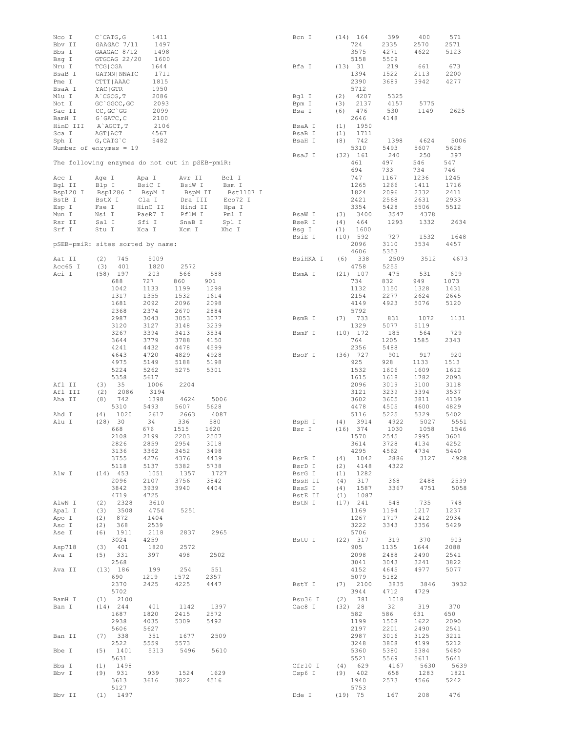| Nco I<br>Bbv II    | $C$ $CATG$ , $G$<br>GAAGAC 7/11                | 1411<br>1497    |                    |                      | Bcn I            | $(14)$ 164<br>724          | 399<br>2335  | 400<br>2570  | 571<br>2571  |
|--------------------|------------------------------------------------|-----------------|--------------------|----------------------|------------------|----------------------------|--------------|--------------|--------------|
| Bbs I              | GAAGAC 8/12                                    | 1498            |                    |                      |                  | 3575                       | 4271         | 4622         | 5123         |
| Bsg I<br>Nru I     | GTGCAG 22/20<br>TCG   CGA                      | 1600<br>1644    |                    |                      | Bfa I            | 5158<br>(13) 31            | 5509<br>219  | 661          | 673          |
| BsaB I             | GATNN   NNATC                                  | 1711            |                    |                      |                  | 1394                       | 1522         | 2113         | 2200         |
| Pme I              | CTTT   AAAC                                    | 1815            |                    |                      |                  | 2390                       | 3689         | 3942         | 4277         |
| BsaA I             | YAC   GTR                                      | 1950            |                    |                      |                  | 5712                       |              |              |              |
| Mlu I              | A CGCG, T                                      | 2086            |                    |                      | Bgl I            | 4207<br>(2)                | 5325         |              |              |
| Not I<br>Sac II    | GC `GGCC, GC<br>$CC, GC$ GC                    | 2093<br>2099    |                    |                      | Bpm I<br>Bsa I   | 2137<br>(3)<br>476<br>(6)  | 4157<br>530  | 5775<br>1149 | 2625         |
| BamH I             | $G$ $GATC$ , $C$                               | 2100            |                    |                      |                  | 2646                       | 4148         |              |              |
| HinD III           | A`AGCT, T                                      | 2106            |                    |                      | BsaA I           | (1)<br>1950                |              |              |              |
| Sca I              | AGT   ACT                                      | 4567            |                    |                      | BsaB I           | 1711<br>(1)                |              |              |              |
| Sph I              | $G$ , CAT $G$ $C$                              | 5482            |                    |                      | BsaH I           | (8)<br>742                 | 1398         | 4624         | 5006         |
|                    | Number of enzymes = $19$                       |                 |                    |                      |                  | 5310<br>(32) 161           | 5493<br>240  | 5607<br>250  | 5628<br>397  |
|                    | The following enzymes do not cut in pSEB-pmiR: |                 |                    |                      | BsaJ I           | 461                        | 497          | 546          | 547          |
|                    |                                                |                 |                    |                      |                  | 694                        | 733          | 734          | 746          |
| Acc I              | Age I                                          | Apa I           | Avr II             | Bcl I                |                  | 747                        | 1167         | 1236         | 1245         |
| Bgl II             | Blp I                                          | BsiC I          | BsiW I             | Bsm I                |                  | 1265                       | 1266         | 1411         | 1716         |
| Bsp120 I<br>BstB I | Bsp1286 I<br>BstX I                            | BspM I<br>Cla I | BspM II<br>Dra III | Bst1107 I<br>Eco72 I |                  | 1824<br>2421               | 2096<br>2568 | 2332<br>2631 | 2411<br>2933 |
| Esp I              | Fse I                                          | HinC II         | Hind II            | Hpa I                |                  | 3354                       | 5428         | 5506         | 5512         |
| Mun I              | Nsi I                                          | PaeR7 I         | PflM I             | Pml I                | BsaW I           | 3400<br>(3)                | 3547         | 4378         |              |
| Rsr II             | Sal I                                          | Sfi I           | SnaB I             | Spl I                | BseR I           | 464<br>(4)                 | 1293         | 1332         | 2634         |
| Srf I              | Stu I                                          | Xca I           | Xcm I              | Xho I                | Bsg I            | 1600<br>(1)                |              |              |              |
|                    |                                                |                 |                    |                      | BsiE I           | $(10)$ 592<br>2096         | 727          | 1532         | 1648         |
|                    | pSEB-pmiR: sites sorted by name:               |                 |                    |                      |                  | 4606                       | 3110<br>5353 | 3534         | 4457         |
| Aat II             | (2)<br>745                                     | 5009            |                    |                      | BsiHKA I         | 338<br>(6)                 | 2509         | 3512         | 4673         |
| Acc65 I            | 401<br>(3)                                     | 1820            | 2572               |                      |                  | 4758                       | 5255         |              |              |
| Aci I              | $(58)$ 197                                     | 203             | 566                | 588                  | BsmA I           | $(21)$ 107                 | 475          | 531          | 609          |
|                    | 688<br>1042                                    | 727<br>1133     | 860                | 901                  |                  | 734<br>1132                | 832          | 949          | 1073<br>1431 |
|                    | 1317                                           | 1355            | 1199<br>1532       | 1298<br>1614         |                  | 2154                       | 1150<br>2277 | 1328<br>2624 | 2645         |
|                    | 1681                                           | 2092            | 2096               | 2098                 |                  | 4149                       | 4923         | 5076         | 5120         |
|                    | 2368                                           | 2374            | 2670               | 2884                 |                  | 5792                       |              |              |              |
|                    | 2987                                           | 3043            | 3053               | 3077                 | BsmB I           | (7)<br>733                 | 831          | 1072         | 1131         |
|                    | 3120                                           | 3127            | 3148               | 3239                 |                  | 1329                       | 5077         | 5119         |              |
|                    | 3267<br>3644                                   | 3394<br>3779    | 3413<br>3788       | 3534<br>4150         | BsmF I           | $(10)$ 172<br>764          | 185<br>1205  | 564<br>1585  | 729<br>2343  |
|                    | 4241                                           | 4432            | 4478               | 4599                 |                  | 2356                       | 5488         |              |              |
|                    | 4643                                           | 4720            | 4829               | 4928                 | BsoF I           | $(36)$ 727                 | 901          | 917          | 920          |
|                    | 4975                                           | 5149            | 5188               | 5198                 |                  | 925                        | 928          | 1133         | 1513         |
|                    | 5224                                           | 5262            | 5275               | 5301                 |                  | 1532                       | 1606<br>1618 | 1609<br>1782 | 1612         |
| Afl II             | 5358<br>(3)<br>35                              | 5617<br>1006    | 2204               |                      |                  | 1615<br>2096               | 3019         | 3100         | 2093<br>3118 |
| Afl III            | (2)<br>2086                                    | 3194            |                    |                      |                  | 3121                       | 3239         | 3394         | 3537         |
| Aha II             | 742<br>(8)                                     | 1398            | 4624               | 5006                 |                  | 3602                       | 3605         | 3811         | 4139         |
|                    | 5310                                           | 5493            | 5607               | 5628                 |                  | 4478                       | 4505         | 4600         | 4829         |
| Ahd I              | (4)<br>1020                                    | 2617            | 2663               | 4087                 |                  | 5116                       | 5225         | 5329         | 5402         |
| Alu I              | (28) 30<br>668                                 | 34<br>676       | 336<br>1515        | 580<br>1620          | BspH I<br>Bsr I  | 3914<br>(4)<br>$(16)$ 374  | 4922<br>1030 | 5027<br>1058 | 5551<br>1546 |
|                    | 2108                                           | 2199            | 2203               | 2507                 |                  | 1570                       | 2545         | 2995         | 3601         |
|                    | 2826                                           | 2859            | 2954               | 3018                 |                  | 3614                       | 3728         | 4134         | 4252         |
|                    | 3136                                           | 3362            | 3452               | 3498                 |                  | 4295                       | 4562         | 4734         | 5440         |
|                    | 3755<br>5118                                   | 4276<br>5137    | 4376<br>5382       | 4439<br>5738         | BsrB I<br>BsrD I | 1042<br>(4)<br>4148<br>(2) | 2886<br>4322 | 3127         | 4928         |
| Alw I              | $(14)$ 453                                     | 1051            | 1357               | 1727                 | BsrG I           | (1)<br>1282                |              |              |              |
|                    | 2096                                           | 2107            | 3756               | 3842                 | BssH II          | 317<br>(4)                 | 368          | 2488         | 2539         |
|                    | 3842                                           | 3939            | 3940               | 4404                 | BssS I           | 1587<br>(4)                | 3367         | 4751         | 5058         |
|                    | 4719                                           | 4725            |                    |                      | BstE II          | (1)<br>1087                |              |              |              |
| AlwN I<br>ApaL I   | 2328<br>(2)<br>3508<br>(3)                     | 3610<br>4754    | 5251               |                      | BstN I           | $(17)$ 241<br>1169         | 548<br>1194  | 735<br>1217  | 748<br>1237  |
| Apo I              | (2)<br>872                                     | 1404            |                    |                      |                  | 1267                       | 1717         | 2412         | 2934         |
| Asc I              | (2)<br>368                                     | 2539            |                    |                      |                  | 3222                       | 3343         | 3356         | 5429         |
| Ase I              | (6)<br>1911                                    | 2118            | 2837               | 2965                 |                  | 5706                       |              |              |              |
|                    | 3024                                           | 4259            |                    |                      | BstU I           | $(22)$ 317                 | 319          | 370          | 903          |
| Asp718<br>Ava I    | 401<br>(3)<br>331<br>(5)                       | 1820<br>397     | 2572<br>498        | 2502                 |                  | 905<br>2098                | 1135<br>2488 | 1644<br>2490 | 2088<br>2541 |
|                    | 2568                                           |                 |                    |                      |                  | 3041                       | 3043         | 3241         | 3822         |
| Ava II             | (13) 186                                       | 199             | 254                | 551                  |                  | 4152                       | 4645         | 4977         | 5077         |
|                    | 690                                            | 1219            | 1572               | 2357                 |                  | 5079                       | 5182         |              |              |
|                    | 2370                                           | 2425            | 4225               | 4447                 | BstY I           | $(7)$ 2100                 | 3835         | 3846         | 3932         |
| BamH I             | 5702<br>$(1)$ 2100                             |                 |                    |                      | Bsu36 I          | 3944<br>(2) 781            | 4712<br>1018 | 4729         |              |
| Ban I              | $(14)$ 244                                     | 401             | 1142               | 1397                 | Cac8 I           | (32) 28                    | 32           | 319          | 370          |
|                    | 1687                                           | 1820            | 2415               | 2572                 |                  | 582                        | 586          | 631          | 650          |
|                    | 2938                                           | 4035            | 5309               | 5492                 |                  | 1199                       | 1508         | 1622         | 2090         |
|                    | 5606                                           | 5627            |                    |                      |                  | 2197                       | 2201         | 2490         | 2541         |
| Ban II             | $(7)$ 338<br>2522                              | 351<br>5559     | 1677<br>5573       | 2509                 |                  | 2987<br>3248               | 3016<br>3808 | 3125<br>4199 | 3211<br>5212 |
| Bbe I              | (5)<br>1401                                    | 5313            | 5496               | 5610                 |                  | 5360                       | 5380         | 5384         | 5480         |
|                    | 5631                                           |                 |                    |                      |                  | 5521                       | 5569         | 5611         | 5641         |
| Bbs I              | 1498<br>(1)                                    |                 |                    |                      | Cfr10 I          | (4) 629                    | 4167         | 5630         | 5639         |
| Bbv I              | (9)<br>931<br>3613                             | 939<br>3616     | 1524<br>3822       | 1629<br>4516         | Csp6 I           | $(9)$ 402                  | 658<br>2573  | 1283         | 1821<br>5242 |
|                    | 5127                                           |                 |                    |                      |                  | 1940<br>5753               |              | 4566         |              |
| Bbv II             | $(1)$ 1497                                     |                 |                    |                      | Dde I            | $(19)$ 75                  | 167          | 208          | 476          |
|                    |                                                |                 |                    |                      |                  |                            |              |              |              |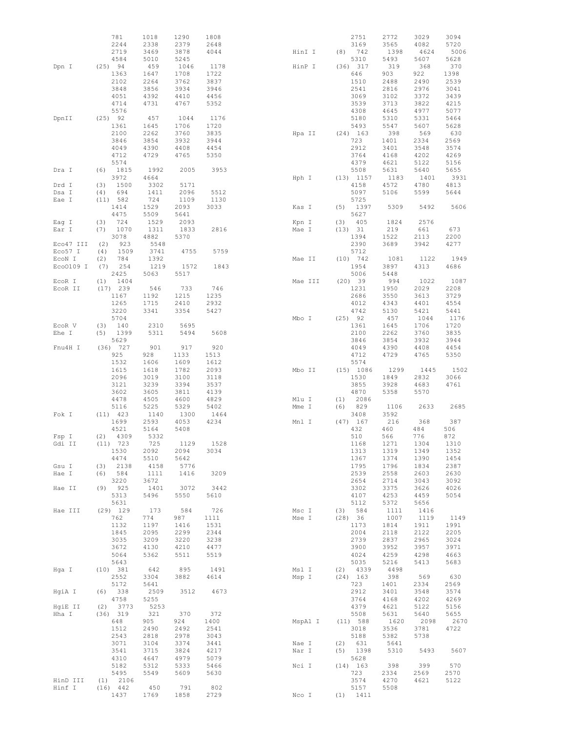|           | 781                    | 1018         | 1290         | 1808         |         |      | 2751               | 2772         | 3029         | 3094         |
|-----------|------------------------|--------------|--------------|--------------|---------|------|--------------------|--------------|--------------|--------------|
|           | 2244                   | 2338         | 2379         | 2648         |         |      | 3169               | 3565         | 4082         | 5720         |
|           | 2719<br>4584           | 3469<br>5010 | 3878<br>5245 | 4044         | HinI I  | (8)  | 742<br>5310        | 1398<br>5493 | 4624<br>5607 | 5006<br>5628 |
| Dpn I     | $(25)$ 94              | 459          | 1046         | 1178         | HinP I  | (36) | 317                | 319          | 368          | 370          |
|           | 1363                   | 1647         | 1708         | 1722         |         |      | 646                | 903          | 922          | 1398         |
|           | 2102                   | 2264         | 3762         | 3837         |         |      | 1510               | 2488         | 2490         | 2539         |
|           | 3848                   | 3856         | 3934         | 3946         |         |      | 2541               | 2816         | 2976         | 3041         |
|           | 4051                   | 4392         | 4410         | 4456         |         |      | 3069               | 3102         | 3372         | 3439         |
|           | 4714                   | 4731         | 4767         | 5352         |         |      | 3539               | 3713         | 3822         | 4215         |
|           | 5576                   |              |              |              |         |      | 4308               | 4645         | 4977         | 5077         |
| DpnII     | $(25)$ 92              | 457          | 1044         | 1176         |         |      | 5180               | 5310         | 5331         | 5464         |
|           | 1361<br>2100           | 1645<br>2262 | 1706<br>3760 | 1720<br>3835 | Hpa II  |      | 5493<br>$(24)$ 163 | 5547<br>398  | 5607<br>569  | 5628<br>630  |
|           | 3846                   | 3854         | 3932         | 3944         |         |      | 723                | 1401         | 2334         | 2569         |
|           | 4049                   | 4390         | 4408         | 4454         |         |      | 2912               | 3401         | 3548         | 3574         |
|           | 4712                   | 4729         | 4765         | 5350         |         |      | 3764               | 4168         | 4202         | 4269         |
|           | 5574                   |              |              |              |         |      | 4379               | 4621         | 5122         | 5156         |
| Dra I     | 1815<br>(6)            | 1992         | 2005         | 3953         |         |      | 5508               | 5631         | 5640         | 5655         |
|           | 3972                   | 4664         |              |              | Hph I   | (13) | 1157               | 1183         | 1401         | 3931         |
| Drd I     | 1500<br>(3)            | 3302         | 5171         |              |         |      | 4158               | 4572         | 4780         | 4813         |
| Dsa I     | 694<br>(4)<br>(11) 582 | 1411<br>724  | 2096<br>1109 | 5512<br>1130 |         |      | 5097<br>5725       | 5106         | 5599         | 5644         |
| Eae I     | 1414                   | 1529         | 2093         | 3033         | Kas I   | (5)  | 1397               | 5309         | 5492         | 5606         |
|           | 4475                   | 5509         | 5641         |              |         |      | 5627               |              |              |              |
| Eag I     | 724<br>(3)             | 1529         | 2093         |              | Kpn I   | (3)  | 405                | 1824         | 2576         |              |
| Ear I     | (7)<br>1070            | 1311         | 1833         | 2816         | Mae I   | (13) | 31                 | 219          | 661          | 673          |
|           | 3078                   | 4882         | 5370         |              |         |      | 1394               | 1522         | 2113         | 2200         |
| Eco47 III | (2)<br>923             | 5548         |              |              |         |      | 2390               | 3689         | 3942         | 4277         |
| Eco57 I   | 1509<br>(4)            | 3741         | 4755         | 5759         |         |      | 5712               |              |              |              |
| EcoN I    | (2)<br>784             | 1392         |              |              | Mae II  |      | $(10)$ 742         | 1081         | 1122         | 1949         |
| Eco0109 I | 254<br>(7)<br>2425     | 1219<br>5063 | 1572         | 1843         |         |      | 1954<br>5006       | 3897<br>5448 | 4313         | 4686         |
| EcoR I    | 1404<br>(1)            |              | 5517         |              | Mae III |      | $(20)$ 39          | 994          | 1022         | 1087         |
| EcoR II   | 239<br>(17)            | 546          | 733          | 746          |         |      | 1231               | 1950         | 2029         | 2208         |
|           | 1167                   | 1192         | 1215         | 1235         |         |      | 2686               | 3550         | 3613         | 3729         |
|           | 1265                   | 1715         | 2410         | 2932         |         |      | 4012               | 4343         | 4401         | 4554         |
|           | 3220                   | 3341         | 3354         | 5427         |         |      | 4742               | 5130         | 5421         | 5441         |
|           | 5704                   |              |              |              | Mbo I   | (25) | 92                 | 457          | 1044         | 1176         |
| EcoR V    | 140<br>(3)             | 2310         | 5695         |              |         |      | 1361               | 1645         | 1706         | 1720         |
| Ehe I     | (5)<br>1399            | 5311         | 5494         | 5608         |         |      | 2100               | 2262         | 3760         | 3835         |
| Fnu4H I   | 5629<br>$(36)$ 727     | 901          | 917          | 920          |         |      | 3846<br>4049       | 3854<br>4390 | 3932<br>4408 | 3944<br>4454 |
|           | 925                    | 928          | 1133         | 1513         |         |      | 4712               | 4729         | 4765         | 5350         |
|           | 1532                   | 1606         | 1609         | 1612         |         |      | 5574               |              |              |              |
|           | 1615                   | 1618         | 1782         | 2093         | Mbo II  |      | (15) 1086          | 1299         | 1445         | 1502         |
|           | 2096                   | 3019         | 3100         | 3118         |         |      | 1530               | 1849         | 2832         | 3066         |
|           | 3121                   | 3239         | 3394         | 3537         |         |      | 3855               | 3928         | 4683         | 4761         |
|           | 3602                   | 3605         | 3811         | 4139         |         |      | 4870               | 5358         | 5570         |              |
|           | 4478                   | 4505         | 4600         | 4829         | Mlu I   | (1)  | 2086               |              |              |              |
|           | 5116                   | 5225         | 5329         | 5402         | Mme I   | (6)  | 829                | 1106         | 2633         | 2685         |
| Fok I     | $(11)$ 423<br>1699     | 1140<br>2593 | 1300<br>4053 | 1464<br>4234 | Mnl I   | (47) | 3408<br>167        | 3592<br>216  | 368          | 387          |
|           | 4521                   | 5164         | 5408         |              |         |      | 432                | 460          | 484          | 506          |
| Fsp I     | 4309<br>(2)            | 5332         |              |              |         |      | 510                | 566          | 776          | 872          |
| Gdi II    | 723<br>(11)            | 725          | 1129         | 1528         |         |      | 1168               | 1271         | 1304         | 1310         |
|           | 1530                   | 2092         | 2094         | 3034         |         |      | 1313               | 1319         | 1349         | 1352         |
|           | 4474                   | 5510         | 5642         |              |         |      | 1367               | 1374         | 1390         | 1454         |
| Gsu I     | 2138<br>(3)            | 4158         | 5776         |              |         |      | 1795               | 1796         | 1834         | 2387         |
| Hae I     | 584<br>(6)             | 1111         | 1416         | 3209         |         |      | 2539               | 2558         | 2603         | 2630         |
|           | 3220<br>925<br>(9)     | 3672<br>1401 | 3072         | 3442         |         |      | 2654<br>3302       | 2714<br>3375 | 3043<br>3626 | 3092<br>4026 |
| Hae II    | 5313                   | 5496         | 5550         | 5610         |         |      | 4107               | 4253         | 4459         | 5054         |
|           | 5631                   |              |              |              |         |      | 5112               | 5372         | 5656         |              |
| Hae III   | $(29)$ 129             | 173          | 584          | 726          | Msc I   |      | $(3)$ 584          | 1111         | 1416         |              |
|           | 762                    | 774          | 987          | 1111         | Mse I   |      | (28) 36            | 1007         | 1119         | 1149         |
|           | 1132                   | 1197         | 1416         | 1531         |         |      | 1173               | 1814         | 1911         | 1991         |
|           | 1845                   | 2095         | 2299         | 2344         |         |      | 2004               | 2118         | 2122         | 2205         |
|           | 3035                   | 3209         | 3220         | 3238         |         |      | 2739               | 2837         | 2965         | 3024         |
|           | 3672<br>5064           | 4130         | 4210         | 4477<br>5519 |         |      | 3900<br>4024       | 3952<br>4259 | 3957<br>4298 | 3971<br>4663 |
|           | 5643                   | 5362         | 5511         |              |         |      | 5035               | 5216         | 5413         | 5683         |
| Hqa I     | (10) 381               | 642          | 895          | 1491         | Msl I   |      | $(2)$ 4339         | 4498         |              |              |
|           | 2552                   | 3304         | 3882         | 4614         | Msp I   |      | $(24)$ 163         | 398          | 569          | 630          |
|           | 5172                   | 5641         |              |              |         |      | 723                | 1401         | 2334         | 2569         |
| HgiA I    | (6)<br>338             | 2509         | 3512         | 4673         |         |      | 2912               | 3401         | 3548         | 3574         |
|           | 4758                   | 5255         |              |              |         |      | 3764               | 4168         | 4202         | 4269         |
| HqiE II   | 3773<br>(2)            | 5253         |              |              |         |      | 4379               | 4621         | 5122         | 5156         |
| Hha I     | (36) 319               | 321          | 370          | 372          |         |      | 5508               | 5631         | 5640         | 5655         |
|           | 648<br>1512            | 905<br>2490  | 924<br>2492  | 1400<br>2541 | MspA1 I |      | (11) 588<br>3018   | 1620<br>3536 | 2098<br>3781 | 2670<br>4722 |
|           | 2543                   | 2818         | 2978         | 3043         |         |      | 5188               | 5382         | 5738         |              |
|           | 3071                   | 3104         | 3374         | 3441         | Nae I   |      | $(2)$ 631          | 5641         |              |              |
|           | 3541                   | 3715         | 3824         | 4217         | Nar I   |      | $(5)$ 1398         | 5310         | 5493         | 5607         |
|           | 4310                   | 4647         | 4979         | 5079         |         |      | 5628               |              |              |              |
|           | 5182                   | 5312         | 5333         | 5466         | Nci I   |      | $(14)$ 163         | 398          | 399          | 570          |
|           | 5495                   | 5549         | 5609         | 5630         |         |      | 723                | 2334         | 2569         | 2570         |
| HinD III  | $(1)$ 2106             |              |              |              |         |      | 3574               | 4270         | 4621         | 5122         |
| Hinf I    | $(16)$ 442<br>1437     | 450<br>1769  | 791<br>1858  | 802<br>2729  | Nco I   |      | 5157<br>$(1)$ 1411 | 5508         |              |              |
|           |                        |              |              |              |         |      |                    |              |              |              |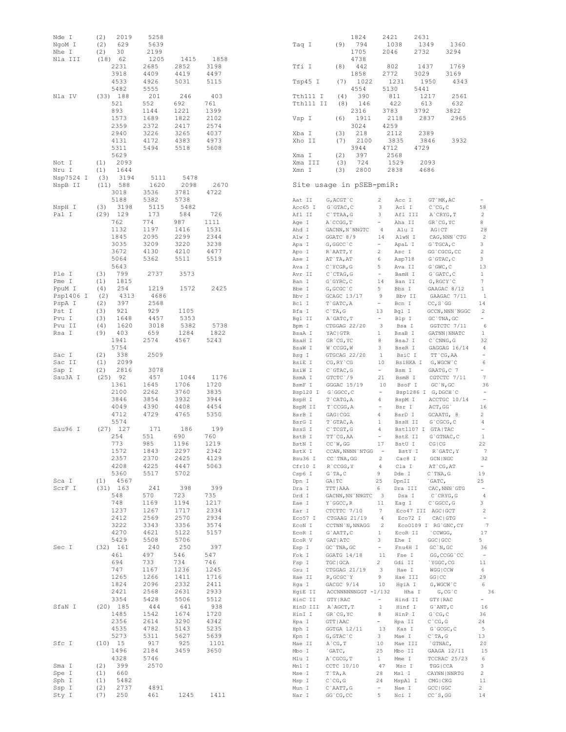| Nde I<br>NgoM I      | (2)<br>2019<br>(2)<br>629  | 5258<br>5639 |              |              |
|----------------------|----------------------------|--------------|--------------|--------------|
| Nhe I                | (2)<br>30                  | 2199         |              |              |
| Nla III              | (18) 62<br>2231            | 1205<br>2685 | 1415<br>2852 | 1858<br>3198 |
|                      | 3918                       | 4409         | 4419         | 4497         |
|                      | 4533<br>5482               | 4926<br>5555 | 5031         | 5115         |
| Nla IV               | (33) 188                   | 201          | 246          | 403          |
|                      | 521                        | 552          | 692          | 761          |
|                      | 893<br>1573                | 1144<br>1689 | 1221<br>1822 | 1399<br>2102 |
|                      | 2359                       | 2372         | 2417         | 2574         |
|                      | 2940<br>4131               | 3226<br>4172 | 3265<br>4383 | 4037<br>4973 |
|                      | 5311                       | 5494         | 5518         | 5608         |
| Not I                | 5629<br>2093<br>(1)        |              |              |              |
| Nru I                | (1)<br>1644                |              |              |              |
| Nsp7524 I<br>NspB II | (3)<br>3194<br>(11) 588    | 5111<br>1620 | 5478<br>2098 | 2670         |
|                      | 3018                       | 3536         | 3781         | 4722         |
| NspH I               | 5188<br>3198<br>(3)        | 5382<br>5115 | 5738<br>5482 |              |
| Pal I                | $(29)$ 129                 | 173          | 584          | 726          |
|                      | 762<br>1132                | 774<br>1197  | 987<br>1416  | 1111<br>1531 |
|                      | 1845                       | 2095         | 2299         | 2344         |
|                      | 3035<br>3672               | 3209<br>4130 | 3220<br>4210 | 3238<br>4477 |
|                      | 5064                       | 5362         | 5511         | 5519         |
| Ple I                | 5643<br>799<br>(3)         | 2737         | 3573         |              |
| Pme I<br>PpuM I      | 1815<br>(1)<br>254<br>(4)  | 1219         | 1572         | 2425         |
| Psp1406 I            | 4313<br>(2)                | 4686         |              |              |
| PspA I<br>Pst I      | 397<br>(2)<br>(3)<br>921   | 2568<br>929  | 1105         |              |
| Pvu I                | 1648<br>(3)                | 4457         | 5353         |              |
| Pvu II<br>Rsa I      | 1620<br>(4)<br>(9)<br>403  | 3018<br>659  | 5382<br>1284 | 5738<br>1822 |
|                      | 1941                       | 2574         | 4567         | 5243         |
| Sac I                | 5754<br>338<br>(2)         | 2509         |              |              |
| Sac II               | 2099<br>(1)<br>$(2)$ 2816  | 3078         |              |              |
| Sap I<br>Sau3A I     | $(25)$ 92                  | 457          | 1044         | 1176         |
|                      | 1361<br>2100               | 1645         | 1706         | 1720<br>3835 |
|                      | 3846                       | 2262<br>3854 | 3760<br>3932 | 3944         |
|                      | 4049<br>4712               | 4390<br>4729 | 4408<br>4765 | 4454<br>5350 |
|                      | 5574                       |              |              |              |
| Sau96 I              | $(27)$ 127<br>254          | 171<br>551   | 186<br>690   | 199<br>760   |
|                      | 773                        | 985          | 1196         | 1219         |
|                      | 1572<br>2357               | 1843<br>2370 | 2297<br>2425 | 2342<br>4129 |
|                      | 4208                       | 4225         | 4447         | 5063         |
| Sca I                | 5360<br>$(1)$ 4567         | 5517         | 5702         |              |
| ScrF I               | $(31)$ 163                 | 241          | 398          | 399          |
|                      | 548<br>748                 | 570<br>1169  | 723<br>1194  | 735<br>1217  |
|                      | 1237                       | 1267         | 1717         | 2334         |
|                      | 2412<br>3222               | 2569<br>3343 | 2570<br>3356 | 2934<br>3574 |
|                      | 4270                       | 4621         | 5122         | 5157         |
| Sec I                | 5429<br>$(32)$ 161         | 5508<br>240  | 5706<br>250  | 397          |
|                      | 461                        | 497          | 546          | 547          |
|                      | 694<br>747                 | 733<br>1167  | 734<br>1236  | 746<br>1245  |
|                      | 1265                       | 1266         | 1411         | 1716         |
|                      | 1824<br>2421               | 2096<br>2568 | 2332<br>2631 | 2411<br>2933 |
|                      | 3354                       | 5428         | 5506         | 5512         |
| SfaN I               | $(20)$ 185<br>1485         | 444<br>1542  | 641<br>1674  | 938<br>1720  |
|                      | 2356                       | 2614         | 3290         | 4342         |
|                      | 4535<br>5273               | 4782<br>5311 | 5143<br>5627 | 5235<br>5639 |
| Sfc I                | (10) 15                    | 917          | 925          | 1101         |
|                      | 1496<br>4328               | 2184<br>5746 | 3459         | 3650         |
| Sma I                | 399<br>(2)                 | 2570         |              |              |
| Spe I                | (1)<br>660                 |              |              |              |
| Sph I<br>Ssp I       | (1)<br>5482<br>(2)<br>2737 | 4891         |              |              |
| Sty I                | (7)<br>250                 | 461          | 1245         | 1411         |

| Taq I                       | 1824<br>794<br>(9)<br>1705      | 2421<br>2046                  | 2631<br>1038<br>2732    | 1349<br>1360<br>3294                 |                        |
|-----------------------------|---------------------------------|-------------------------------|-------------------------|--------------------------------------|------------------------|
| Tfi I                       | 4738<br>442<br>(8)              |                               | 802                     | 1437<br>1769                         |                        |
| Tsp45 I                     | 1858<br>1022<br>(7)             | 2772                          | 3029<br>1231            | 3169<br>1950<br>4343                 |                        |
|                             | 4554                            | 5130                          | 5441                    |                                      |                        |
| Tth111<br>I<br>Tth111<br>II | (4)<br>390<br>146<br>(8)        |                               | 811<br>422              | 1217<br>2561<br>613<br>632           |                        |
| Vsp I                       | 2316<br>1911<br>(6)             | 3783                          | 3792<br>2118            | 3822<br>2837<br>2965                 |                        |
|                             | 3024                            | 4259                          |                         |                                      |                        |
| I<br>Xba                    | 218<br>(3)                      |                               | 2112                    | 2389                                 |                        |
| Xho II                      | 2100<br>(7)<br>3944             | 4712                          | 3835<br>4729            | 3846<br>3932                         |                        |
| Ι<br>Xma                    | 397<br>(2)                      |                               | 2568                    |                                      |                        |
| Xma III<br>Xmn I            | 724<br>(3)<br>2800              |                               | 1529<br>2838            | 2093<br>4686                         |                        |
|                             | (3)<br>Site usage in pSEB-pmiR: |                               |                         |                                      |                        |
| Aat II                      | G, ACGT `C                      | 2                             | Acc I                   | GT `MK, AC                           |                        |
| Acc65 I                     | $G$ GTAC, $C$                   | 3                             | Aci I                   | $C$ $^{\circ}$ CG, C                 | 58                     |
| Afl II                      | $C$ `TTAA, G                    | 3                             | Afl III                 | A`CRYG, T                            | 2                      |
| Age I<br>Ahd I              | A`CCGG,T                        | $\overline{4}$                | Aha II<br>Alu I         | GR'CG, YC<br><b>AGICT</b>            | 8<br>28                |
| Alw I                       | GACNN, N`NNGTC<br>GGATC 8/9     | 14                            | AlwN I                  | CAG, NNN `CTG                        | 2                      |
| Apa I                       | G, GGCC `C                      |                               | ApaL I                  | G`TGCA, C                            | 3                      |
| Apo I                       | R`AATT, Y                       | 2                             | Asc I                   | GG`CGCG, CC                          | 2                      |
| Ase I<br>Ava I              | AT`TA, AT<br>C`YCGR, G          | 6<br>5                        | Asp718<br>Ava II        | G`GTAC, C<br>$G$ $GWC$ , $C$         | 3<br>13                |
| Avr II                      | C`CTAG, G                       | $\sim$                        | BamH I                  | G`GATC, C                            | 1                      |
| Ban I                       | G`GYRC, C                       | 14                            | Ban II                  | G, RGCY `C                           | 7                      |
| Bbe I                       | G, GCGC`C                       | 5                             | Bbs I                   | GAAGAC 8/12                          | 1                      |
| Bbv I<br>Bcl I              | GCAGC 13/17<br>T`GATC, A        | 9<br>$\overline{\phantom{0}}$ | Bbv II<br>Bcn I         | GAAGAC 7/11<br>$CC, S$ GG            | 1<br>14                |
| Bfa I                       | $C$ TA, $G$                     | 13                            | Bgl I                   | GCCN, NNN `NGGC                      | 2                      |
| Bgl II                      | A`GATC, T                       | $\frac{1}{2}$                 | Blp I                   | GC `TNA, GC                          |                        |
| Bpm I<br>BsaA I             | CTGGAG 22/20<br>YAC   GTR       | 3<br>1                        | Bsa I<br>BsaB I         | GGTCTC 7/11<br>GATNN   NNATC         | -6<br>1                |
| BsaH I                      | GR CG, YC                       | 8                             | BsaJ I                  | $C$ $CMNG$ , $G$                     | 32                     |
| BsaW I                      | W`CCGG, W                       | 3                             | BseR I                  | GAGGAG 16/14                         | 4                      |
| Bsg I<br>BsiE I             | GTGCAG 22/20                    | $\mathbf{1}$<br>10            | BsiC I<br>BsiHKA I      | TT `CG, AA                           | 6                      |
| BsiW I                      | CG, RY `CG<br>C`GTAC, G         | $\equiv$                      | Bsm I                   | G, WGCW`C<br>GAATG, C 7              | ÷.                     |
| BsmA I                      | GTCTC \/9                       | 21                            | BsmB I                  | CGTCTC 7/11                          | 7                      |
| BsmF I                      | GGGAC 15/19                     | 10                            | BsoF I                  | GC'N, GC                             | 36                     |
| Bsp120 I<br>BspH I          | G`GGCC, C<br>T`CATG, A          | $\equiv$<br>4                 | Bsp1286 I<br>BspM I     | G, DGCH `C<br>ACCTGC 10/14           | ÷                      |
| BspM II                     | T`CCGG, A                       | $\overline{a}$                | Bsr I                   | ACT, GG                              | 16                     |
| BsrB I                      | GAG   CGG                       | 4                             | BsrD I                  | GCAATG, 8                            | 2                      |
| BsrG I<br>BssS I            | T`GTAC, A<br>C`TCGT, G          | 1<br>4                        | BssH II<br>Bst1107<br>T | G`CGCG, C<br><b>GTA   TAC</b>        | 4<br>$\qquad \qquad -$ |
| BstB I                      | TT CG, AA                       | ÷                             | BstE II                 | G`GTNAC, C                           | 1                      |
| BstN I                      | CC W, GG                        | 17                            | BstU I                  | CG   CG                              | 22                     |
| BstX I<br>Bsu36 I           | CCAN, NNNN`NTGG<br>CC `TNA, GG  | $\sim$<br>2                   | BstY I<br>Cac8 I        | R`GATC, Y<br>$GCN$   $NGC$           | - 7<br>32              |
| Cfr10 I                     | R`CCGG, Y                       | 4                             | Cla I                   | AT `CG, AT                           |                        |
| Csp6 I                      | $G$ TA, C                       | 9                             | Dde I                   | $C$ `TNA, G                          | 19                     |
| Dpn I                       | GA   TC<br>TTT   AAA            | 25<br>6                       | DpnII<br>Dra III        | `GATC,<br>CAC, NNN `GTG              | 25                     |
| Dra I<br>Drd I              | GACNN, NN `NNGTC                | $\overline{\mathbf{3}}$       | Dsa I                   | $C$ $CRYG$ , $G$                     | $\overline{4}$         |
| Eae I                       | Y `GGCC, R                      | $11\,$                        | Eag I                   | C`GGCC, G                            | 3                      |
| Ear I<br>Eco57 I            | CTCTTC 7/10<br>CTGAAG 21/19     | 7<br>$-4$                     | Eco47 III               | AGC   GCT<br>CAC   GTG               | $\overline{c}$         |
| ECON I                      | CCTNN `N, NNAGG                 | $\overline{2}$                | Eco72 I                 | ECOO109 I RG'GNC, CY                 | 7                      |
| EcoR I                      | G`AATT, C                       | 1                             | ECOR II                 | CCWGG,                               | 17                     |
| EcoR V                      | GAT   ATC                       | 3<br>$\equiv$                 | Ehe I                   | GGC   GCC                            | 5                      |
| Esp I<br>Fok I              | GC `TNA, GC<br>GGATG 14/18      | 11                            | Fnu4H I<br>Fse I        | GC'N, GC<br>GG, CCGG'CC              | 36                     |
| Fsp I                       | TGC   GCA                       | 2                             | Gdi II                  | `YGGC, CG                            | 11                     |
| Gsu I                       | CTGGAG 21/19                    | 3                             | Hae I                   | <b>WGG</b>   CCW                     | 6                      |
| Hae II<br>Hga I             | R, GCGC `Y<br>GACGC 9/14        | 9<br>10                       | Hae III<br>HgiA I       | GG   CC<br>G, WGCW`C                 | 29<br>6                |
| HgiE II                     | ACCNNNNNNGGT -1/132             |                               | Hha I                   | G, CG, C                             | 36                     |
| HinC II                     | GTY   RAC                       |                               | Hind II                 | GTY   RAC                            |                        |
| HinD III<br>HinI I          | A`AGCT, T<br>GR CG, YC          | $\,1\,$<br>8                  | Hinf I<br>HinP I        | $G$ ANT, $C$<br>$G$ $^{\circ}$ CG, C | 16<br>36               |
| Hpa I                       | GTT   AAC                       |                               | Hpa II                  | $C$ $^{\circ}$ CG, G                 | 24                     |
| Hph I                       | GGTGA 12/11                     | 13                            | Kas I                   | G`GCGC, C                            | 5                      |
| Kpn I                       | $G$ , $G$ TAC $C$               | 3<br>10                       | Mae I                   | $C$ TA, G<br>`GTNAC,                 | 13<br>20               |
| Mae II<br>Mbo I             | A`CG, T<br>`GATC,               | 25                            | Mae III<br>Mbo II       | GAAGA 12/11                          | 15                     |
| Mlu I                       | A`CGCG, T                       | $\mathbf{1}$                  | Mme I                   | TCCRAC 25/23                         | 6                      |
| Mnl I                       | CCTC 10/10                      | 47                            | Msc I                   | TGG   CCA                            | 3                      |
| Mse I<br>Msp I              | T`TA, A<br>$C$ $CG, G$          | 28<br>24                      | Msl I<br>MspA1 I        | CAYNN   NNRTG<br>CMG   CKG           | 2<br>11                |
| Mun I                       | C`AATT, G                       |                               | Nae I                   | $\mathsf{GCC}\mid \mathsf{GCC}$      | 2                      |
| Nar I                       | GG`CG, CC                       | 5                             | Nci I                   | $CC$ `S, GG                          | 14                     |